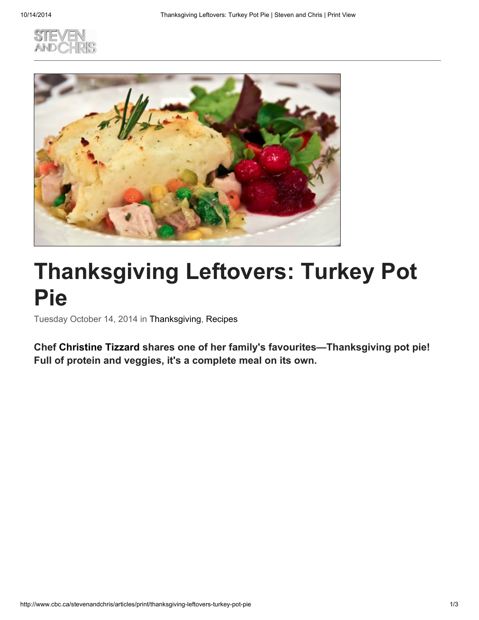



## Thanksgiving Leftovers: Turkey Pot Pie

Tuesday October 14, 2014 in Thanksgiving, Recipes

Chef Christine Tizzard shares one of her family's favourites—Thanksgiving pot pie! Full of protein and veggies, it's a complete meal on its own.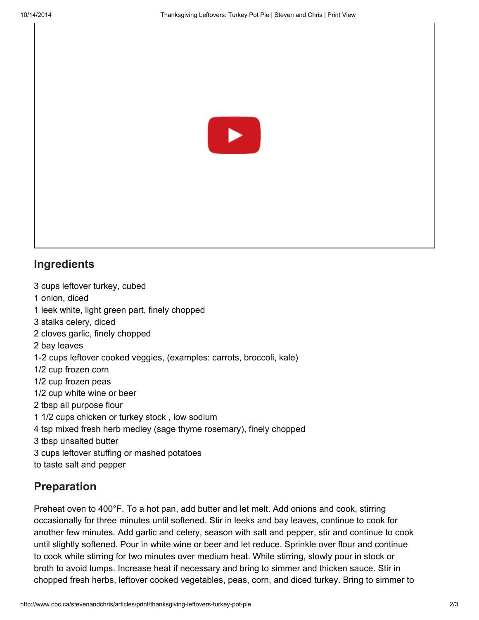

## **Ingredients**

 cups leftover turkey, cubed onion, diced leek white, light green part, finely chopped stalks celery, diced cloves garlic, finely chopped bay leaves 1-2 cups leftover cooked veggies, (examples: carrots, broccoli, kale) 1/2 cup frozen corn 1/2 cup frozen peas 1/2 cup white wine or beer tbsp all purpose flour 1/2 cups chicken or turkey stock , low sodium tsp mixed fresh herb medley (sage thyme rosemary), finely chopped tbsp unsalted butter cups leftover stuffing or mashed potatoes to taste salt and pepper

## Preparation

Preheat oven to 400°F. To a hot pan, add butter and let melt. Add onions and cook, stirring occasionally for three minutes until softened. Stir in leeks and bay leaves, continue to cook for another few minutes. Add garlic and celery, season with salt and pepper, stir and continue to cook until slightly softened. Pour in white wine or beer and let reduce. Sprinkle over flour and continue to cook while stirring for two minutes over medium heat. While stirring, slowly pour in stock or broth to avoid lumps. Increase heat if necessary and bring to simmer and thicken sauce. Stir in chopped fresh herbs, leftover cooked vegetables, peas, corn, and diced turkey. Bring to simmer to